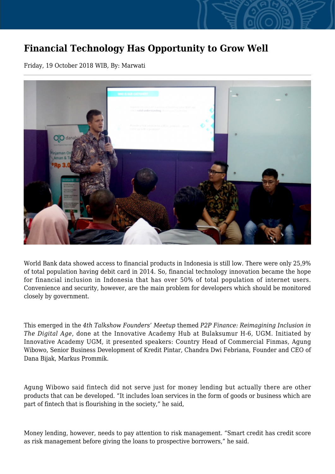## **Financial Technology Has Opportunity to Grow Well**

Friday, 19 October 2018 WIB, By: Marwati



World Bank data showed access to financial products in Indonesia is still low. There were only 25,9% of total population having debit card in 2014. So, financial technology innovation became the hope for financial inclusion in Indonesia that has over 50% of total population of internet users. Convenience and security, however, are the main problem for developers which should be monitored closely by government.

This emerged in the *4th Talkshow Founders' Meetup* themed *P2P Finance: Reimagining Inclusion in The Digital Age*, done at the Innovative Academy Hub at Bulaksumur H-6, UGM. Initiated by Innovative Academy UGM, it presented speakers: Country Head of Commercial Finmas, Agung Wibowo, Senior Business Development of Kredit Pintar, Chandra Dwi Febriana, Founder and CEO of Dana Bijak, Markus Prommik.

Agung Wibowo said fintech did not serve just for money lending but actually there are other products that can be developed. "It includes loan services in the form of goods or business which are part of fintech that is flourishing in the society," he said,

Money lending, however, needs to pay attention to risk management. "Smart credit has credit score as risk management before giving the loans to prospective borrowers," he said.